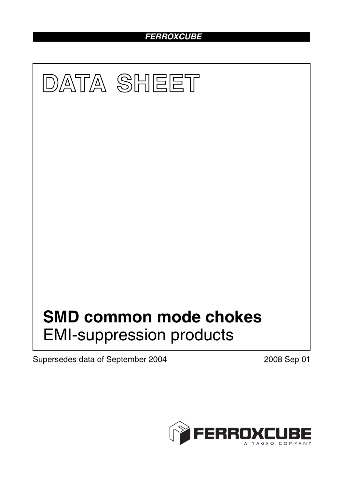## *FERROXCUBE*



Supersedes data of September 2004 2008 Sep 01

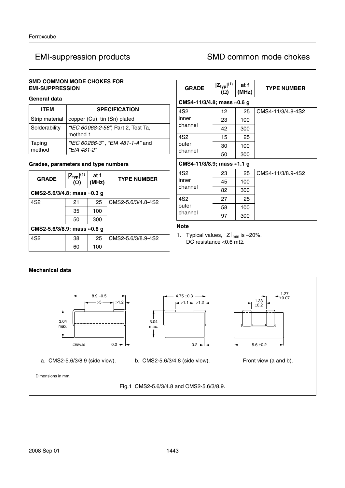## **SMD COMMON MODE CHOKES FOR EMI-SUPPRESSION**

## **General data**

| <b>ITEM</b>      | <b>SPECIFICATION</b>                            |
|------------------|-------------------------------------------------|
| Strip material   | copper (Cu), tin (Sn) plated                    |
| Solderability    | "IEC 60068-2-58", Part 2, Test Ta,<br>method 1  |
| Taping<br>method | "IEC 60286-3", "EIA 481-1-A" and<br>"EIA 481-2" |

### **Grades, parameters and type numbers**

| <b>GRADE</b>                         | $ Z_{typ} ^{(1)}$<br>$(\Omega)$      | at f<br>(MHz) | <b>TYPE NUMBER</b> |  |  |  |
|--------------------------------------|--------------------------------------|---------------|--------------------|--|--|--|
|                                      | CMS2-5.6/3/4.8; mass $\approx$ 0.3 g |               |                    |  |  |  |
| 4S <sub>2</sub>                      | 21                                   | 25            | CMS2-5.6/3/4.8-4S2 |  |  |  |
|                                      | 35                                   | 100           |                    |  |  |  |
|                                      | 50                                   | 300           |                    |  |  |  |
| CMS2-5.6/3/8.9; mass $\approx$ 0.6 q |                                      |               |                    |  |  |  |
| 4S <sub>2</sub>                      | 38                                   | 25            | CMS2-5.6/3/8.9-4S2 |  |  |  |
|                                      | 60                                   | 100           |                    |  |  |  |

| <b>GRADE</b>                        | $ Z_{typ} ^{(1)}$<br>$(\Omega)$     | at f<br>(MHz) | <b>TYPE NUMBER</b> |  |  |
|-------------------------------------|-------------------------------------|---------------|--------------------|--|--|
| CMS4-11/3/4.8; mass $\approx$ 0.6 g |                                     |               |                    |  |  |
| 4S2                                 | 12                                  | 25            | CMS4-11/3/4.8-4S2  |  |  |
| inner                               | 23                                  | 100           |                    |  |  |
| channel                             | 42                                  | 300           |                    |  |  |
| 4S <sub>2</sub>                     | 15                                  | 25            |                    |  |  |
| outer                               | 30                                  | 100           |                    |  |  |
| channel                             | 50                                  | 300           |                    |  |  |
|                                     | CMS4-11/3/8.9; mass $\approx$ 1.1 g |               |                    |  |  |
| 4S <sub>2</sub>                     | 23                                  | 25            | CMS4-11/3/8.9-4S2  |  |  |
| inner<br>channel                    | 45                                  | 100           |                    |  |  |
|                                     | 82                                  | 300           |                    |  |  |
| 4S <sub>2</sub>                     | 27                                  | 25            |                    |  |  |
| outer<br>channel                    | 58                                  | 100           |                    |  |  |
|                                     | 97                                  | 300           |                    |  |  |

## **Note**

1. Typical values,  $|Z|_{min}$  is -20%. DC resistance <0.6 mΩ.

### **Mechanical data**



 $5.6 \pm 0.2$ 1.33 ±0.2 1.27 ±0.07

Dimensions in mm.

Fig.1 CMS2-5.6/3/4.8 and CMS2-5.6/3/8.9.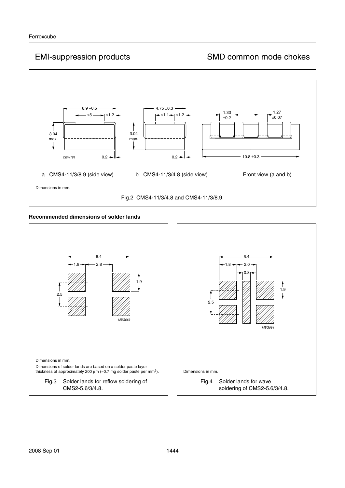

### **Recommended dimensions of solder lands**

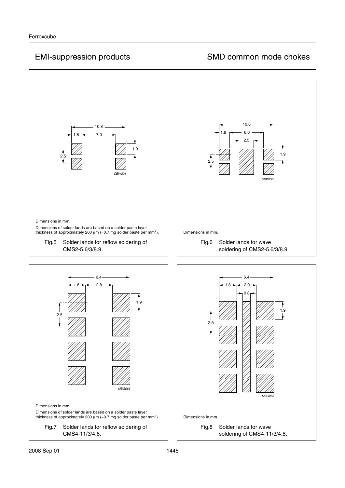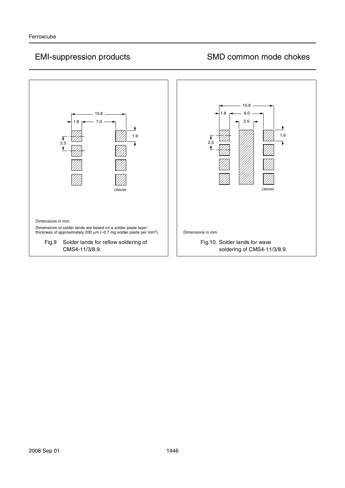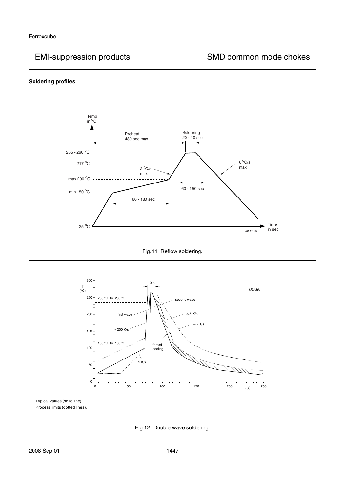### **Soldering profiles**



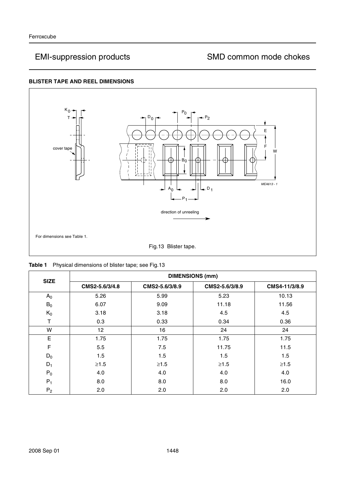## **BLISTER TAPE AND REEL DIMENSIONS**



|  |  | Table 1 Physical dimensions of blister tape; see Fig.13 |  |  |  |  |
|--|--|---------------------------------------------------------|--|--|--|--|
|--|--|---------------------------------------------------------|--|--|--|--|

| <b>SIZE</b> | <b>DIMENSIONS (mm)</b> |                |                |               |  |  |
|-------------|------------------------|----------------|----------------|---------------|--|--|
|             | CMS2-5.6/3/4.8         | CMS2-5.6/3/8.9 | CMS2-5.6/3/8.9 | CMS4-11/3/8.9 |  |  |
| $A_0$       | 5.26                   | 5.99           | 5.23           | 10.13         |  |  |
| $B_0$       | 6.07                   | 9.09           | 11.18          | 11.56         |  |  |
| $K_0$       | 3.18                   | 3.18           | 4.5            | 4.5           |  |  |
| т           | 0.3                    | 0.33           | 0.34           | 0.36          |  |  |
| W           | 12                     | 16             | 24             | 24            |  |  |
| E           | 1.75                   | 1.75           | 1.75           | 1.75          |  |  |
| F           | 5.5                    | 7.5            | 11.75          | 11.5          |  |  |
| $D_0$       | 1.5                    | 1.5            | 1.5            | 1.5           |  |  |
| $D_1$       | $\geq1.5$              | $\geq1.5$      | $\geq 1.5$     | $\geq1.5$     |  |  |
| $P_0$       | 4.0                    | 4.0            | 4.0            | 4.0           |  |  |
| $P_1$       | 8.0                    | 8.0            | 8.0            | 16.0          |  |  |
| $P_2$       | 2.0                    | 2.0            | 2.0            | 2.0           |  |  |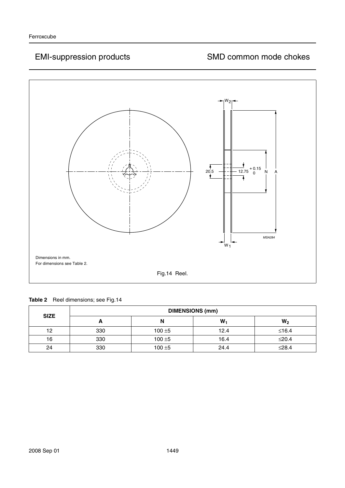

| <b>SIZE</b> | <b>DIMENSIONS (mm)</b> |           |       |                |  |
|-------------|------------------------|-----------|-------|----------------|--|
|             | n                      | N         | $W_1$ | W <sub>2</sub> |  |
| 12          | 330                    | $100 + 5$ | 12.4  | $≤16.4$        |  |
| 16          | 330                    | $100 + 5$ | 16.4  | $≤20.4$        |  |
| 24          | 330                    | $100 + 5$ | 24.4  | $\leq$ 28.4    |  |